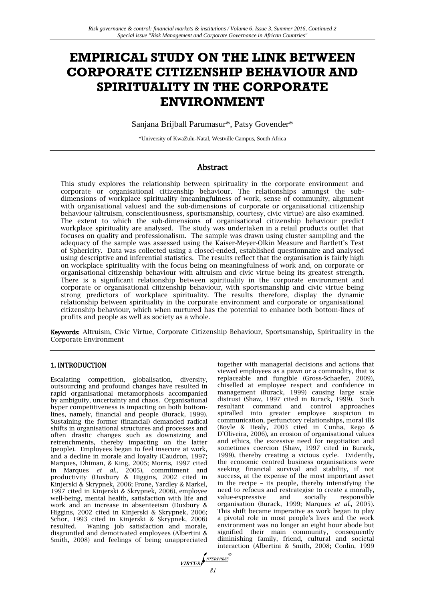# **EMPIRICAL STUDY ON THE LINK BETWEEN CORPORATE CITIZENSHIP BEHAVIOUR AND SPIRITUALITY IN THE CORPORATE ENVIRONMENT**

Sanjana Brijball Parumasur\*, Patsy Govender\*

\*University of KwaZulu-Natal, Westville Campus, South Africa

# Abstract

This study explores the relationship between spirituality in the corporate environment and corporate or organisational citizenship behaviour. The relationships amongst the subdimensions of workplace spirituality (meaningfulness of work, sense of community, alignment with organisational values) and the sub-dimensions of corporate or organisational citizenship behaviour (altruism, conscientiousness, sportsmanship, courtesy, civic virtue) are also examined. The extent to which the sub-dimensions of organisational citizenship behaviour predict workplace spirituality are analysed. The study was undertaken in a retail products outlet that focuses on quality and professionalism. The sample was drawn using cluster sampling and the adequacy of the sample was assessed using the Kaiser-Meyer-Olkin Measure and Bartlett's Test of Sphericity. Data was collected using a closed-ended, established questionnaire and analysed using descriptive and inferential statistics. The results reflect that the organisation is fairly high on workplace spirituality with the focus being on meaningfulness of work and, on corporate or organisational citizenship behaviour with altruism and civic virtue being its greatest strength. There is a significant relationship between spirituality in the corporate environment and corporate or organisational citizenship behaviour, with sportsmanship and civic virtue being strong predictors of workplace spirituality. The results therefore, display the dynamic relationship between spirituality in the corporate environment and corporate or organisational citizenship behaviour, which when nurtured has the potential to enhance both bottom-lines of profits and people as well as society as a whole.

Keywords: Altruism, Civic Virtue, Corporate Citizenship Behaviour, Sportsmanship, Spirituality in the Corporate Environment

# 1. INTRODUCTION

Escalating competition, globalisation, diversity, outsourcing and profound changes have resulted in rapid organisational metamorphosis accompanied by ambiguity, uncertainty and chaos. Organisational hyper competitiveness is impacting on both bottomlines, namely, financial and people (Burack, 1999). Sustaining the former (financial) demanded radical shifts in organisational structures and processes and often drastic changes such as downsizing and retrenchments, thereby impacting on the latter (people). Employees began to feel insecure at work, and a decline in morale and loyalty (Caudron, 1997; Marques, Dhiman, & King, 2005; Morris, 1997 cited in Marques *et al*., 2005), commitment and productivity (Duxbury & Higgins, 2002 cited in Kinjerski & Skrypnek, 2006; Frone, Yardley & Markel, 1997 cited in Kinjerski & Skrypnek, 2006), employee well-being, mental health, satisfaction with life and work and an increase in absenteeism (Duxbury & Higgins, 2002 cited in Kinjerski & Skrypnek, 2006; Schor, 1993 cited in Kinjerski & Skrypnek, 2006) resulted. Waning job satisfaction and morale, disgruntled and demotivated employees (Albertini & Smith, 2008) and feelings of being unappreciated

together with managerial decisions and actions that viewed employees as a pawn or a commodity, that is replaceable and fungible (Gross-Schaefer, 2009), chiselled at employee respect and confidence in management (Burack, 1999) causing large scale distrust (Shaw, 1997 cited in Burack, 1999). Such resultant command and control approaches spiralled into greater employee suspicion in communication, perfunctory relationships, moral ills (Boyle & Healy, 2003 cited in Cunha, Rego & D'Oliveira, 2006), an erosion of organisational values and ethics, the excessive need for negotiation and sometimes coercion (Shaw, 1997 cited in Burack, 1999), thereby creating a vicious cycle. Evidently, the economic centred business organisations were seeking financial survival and stability, if not success, at the expense of the most important asset in the recipe – its people, thereby intensifying the need to refocus and restrategise to create a morally,<br>value-expressive and socially responsible value-expressive and socially responsible organisation (Burack, 1999; Marques *et al*., 2005). This shift became imperative as work began to play a pivotal role in most people's lives and the work environment was no longer an eight hour abode but signified their main community, consequently diminishing family, friend, cultural and societal interaction (Albertini & Smith, 2008; Conlin, 1999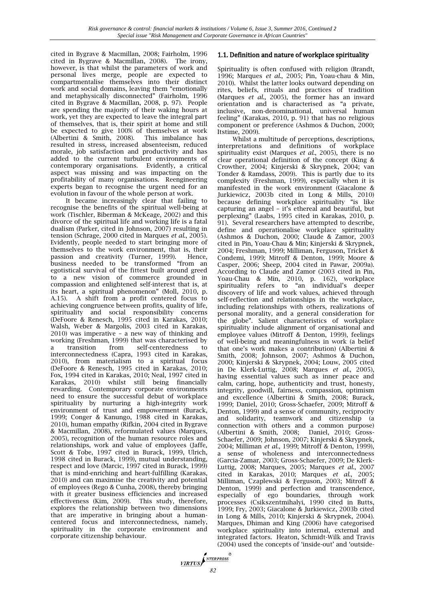cited in Bygrave & Macmillan, 2008; Fairholm, 1996 cited in Bygrave & Macmillan, 2008). The irony, however, is that whilst the parameters of work and personal lives merge, people are expected to compartmentalise themselves into their distinct work and social domains, leaving them "emotionally and metaphysically disconnected" (Fairholm, 1996 cited in Bygrave & Macmillan, 2008, p. 97). People are spending the majority of their waking hours at work, yet they are expected to leave the integral part of themselves, that is, their spirit at home and still be expected to give 100% of themselves at work (Albertini & Smith, 2008). This imbalance has resulted in stress, increased absenteeism, reduced morale, job satisfaction and productivity and has added to the current turbulent environments of contemporary organisations. Evidently, a critical aspect was missing and was impacting on the profitability of many organisations. Reengineering experts began to recognise the urgent need for an evolution in favour of the whole person at work.

It became increasingly clear that failing to recognise the benefits of the spiritual well-being at work (Tischler, Biberman & McKeage, 2002) and this divorce of the spiritual life and working life is a fatal dualism (Parker, cited in Johnson, 2007) resulting in tension (Schrage, 2000 cited in Marques *et al*., 2005). Evidently, people needed to start bringing more of themselves to the work environment, that is, their passion and creativity (Turner, 1999). Hence, business needed to be transformed "from an egotistical survival of the fittest built around greed to a new vision of commerce grounded in compassion and enlightened self-interest that is, at its heart, a spiritual phenomenon" (Moll, 2010, p. A.15). A shift from a profit centered focus to achieving congruence between profits, quality of life, spirituality and social responsibility concerns (DeFoore & Renesch, 1995 cited in Karakas, 2010; Walsh, Weber & Margolis, 2003 cited in Karakas, 2010) was imperative – a new way of thinking and working (Freshman, 1999) that was characterised by a transition from self-centeredness to interconnectedness (Capra, 1993 cited in Karakas, 2010), from materialism to a spiritual focus (DeFoore & Renesch, 1995 cited in Karakas, 2010; Fox, 1994 cited in Karakas, 2010; Neal, 1997 cited in Karakas, 2010) whilst still being financially rewarding. Contemporary corporate environments need to ensure the successful debut of workplace spirituality by nurturing a high-integrity work environment of trust and empowerment (Burack, 1999; Conger & Kanungo, 1988 cited in Karakas, 2010), human empathy (Rifkin, 2004 cited in Bygrave & Macmillan, 2008), reformulated values (Marques, 2005), recognition of the human resource roles and relationships, work and value of employees (Jaffe, Scott & Tobe, 1997 cited in Burack, 1999, Ulrich, 1998 cited in Burack, 1999), mutual understanding, respect and love (Marcic, 1997 cited in Burack, 1999) that is mind-enriching and heart-fulfilling (Karakas, 2010) and can maximise the creativity and potential of employees (Rego & Cunha, 2008), thereby bringing with it greater business efficiencies and increased effectiveness (Kim, 2009). This study, therefore, explores the relationship between two dimensions that are imperative in bringing about a humancentered focus and interconnectedness, namely, spirituality in the corporate environment and corporate citizenship behaviour.

#### 1.1. Definition and nature of workplace spirituality

Spirituality is often confused with religion (Brandt, 1996; Marques *et al*., 2005; Pin, Yoau-chau & Min, 2010). Whilst the latter looks outward depending on rites, beliefs, rituals and practices of tradition (Marques *et al*., 2005), the former has an inward orientation and is characterised as "a private, inclusive, non-denominational, universal human feeling" (Karakas, 2010, p. 91) that has no religious component or preference (Ashmos & Duchon, 2000; Itstime, 2009).

Whilst a multitude of perceptions, descriptions, interpretations and definitions of workplace spirituality exist (Marques *et al*., 2005), there is no clear operational definition of the concept (King & Crowther, 2004; Kinjerski & Skrypnek, 2004; van Tonder & Ramdass, 2009). This is partly due to its complexity (Freshman, 1999), especially when it is manifested in the work environment (Giacalone & Jurkiewicz, 2003b cited in Long & Mills, 2010) because defining workplace spirituality "is like capturing an angel – it's ethereal and beautiful, but perplexing" (Laabs, 1995 cited in Karakas, 2010, p. 91). Several researchers have attempted to describe, define and operationalise workplace spirituality (Ashmos & Duchon, 2000; Claude & Zamor, 2003 cited in Pin, Yoau-Chau & Min; Kinjerski & Skrypnek, 2004; Freshman, 1999; Milliman, Ferguson, Tricket & Condemi, 1999; Mitroff & Denton, 1999; Moore & Casper, 2006; Sheep, 2004 cited in Pawar, 2009a). According to Claude and Zamor (2003 cited in Pin, Yoau-Chau & Min, 2010, p. 162), workplace spirituality refers to "an individual's deeper discovery of life and work values, achieved through self-reflection and relationships in the workplace, including relationships with others, realizations of personal morality, and a general consideration for the globe". Salient characteristics of workplace spirituality include alignment of organisational and employee values (Mitroff & Denton, 1999), feelings of well-being and meaningfulness in work (a belief that one's work makes a contribution) (Albertini & Smith, 2008; Johnson, 2007; Ashmos & Duchon, 2000; Kinjerski & Skrypnek, 2004; Louw, 2005 cited in De Klerk-Luttig, 2008; Marques *et al*., 2005), having essential values such as inner peace and calm, caring, hope, authenticity and trust, honesty, integrity, goodwill, fairness, compassion, optimism and excellence (Albertini & Smith, 2008; Burack, 1999; Daniel, 2010; Gross-Schaefer, 2009; Mitroff & Denton, 1999) and a sense of community, reciprocity and solidarity, teamwork and citizenship (a connection with others and a common purpose) (Albertini & Smith, 2008; Daniel, 2010; Gross-Schaefer, 2009; Johnson, 2007; Kinjerski & Skrypnek, 2004; Milliman *et al*., 1999; Mitroff & Denton, 1999), a sense of wholeness and interconnectedness (Garcia-Zamar, 2003; Gross-Schaefer, 2009; De Klerk-Luttig, 2008; Marques, 2005; Marques *et al*., 2007 cited in Karakas, 2010; Marques *et al*., 2005; Milliman, Czaplewski & Ferguson, 2003; Mitroff & Denton, 1999) and perfection and transcendence, especially of ego boundaries, through work processes (Csikszentmihalyi, 1990 cited in Butts, 1999; Fry, 2003; Giacalone & Jurkiewicz, 2003b cited in Long & Mills, 2010; Kinjerski & Skrypnek, 2004). Marques, Dhiman and King (2006) have categorised workplace spirituality into internal, external and integrated factors. Heaton, Schmidt-Wilk and Travis (2004) used the concepts of 'inside-out' and 'outside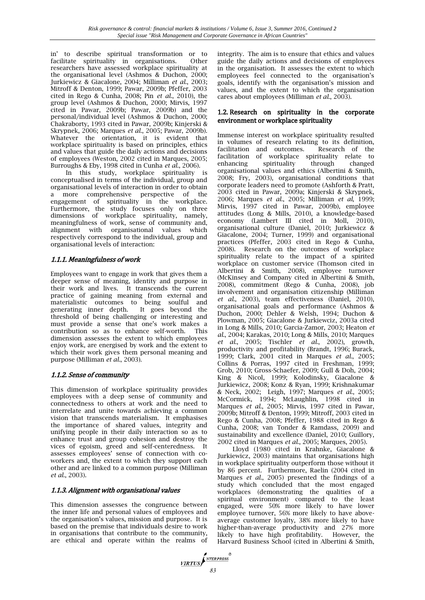in' to describe spiritual transformation or to facilitate spirituality in organisations. Other researchers have assessed workplace spirituality at the organisational level (Ashmos & Duchon, 2000; Jurkiewicz & Giacalone, 2004; Milliman *et al*., 2003; Mitroff & Denton, 1999; Pawar, 2009b; Pfeffer, 2003 cited in Rego & Cunha, 2008; Pin *et al*., 2010), the group level (Ashmos & Duchon, 2000; Mirvis, 1997 cited in Pawar, 2009b; Pawar, 2009b) and the personal/individual level (Ashmos & Duchon, 2000; Chakraborty, 1993 cited in Pawar, 2009b; Kinjerski & Skrypnek, 2006; Marques *et al*., 2005; Pawar, 2009b). Whatever the orientation, it is evident that workplace spirituality is based on principles, ethics and values that guide the daily actions and decisions of employees (Weston, 2002 cited in Marques, 2005; Burroughs & Eby, 1998 cited in Cunha *et al.*, 2006).

In this study, workplace spirituality is conceptualised in terms of the individual, group and organisational levels of interaction in order to obtain a more comprehensive perspective of the engagement of spirituality in the workplace. Furthermore, the study focuses only on three dimensions of workplace spirituality, namely, meaningfulness of work, sense of community and, alignment with organisational values which respectively correspond to the individual, group and organisational levels of interaction:

# 1.1.1. Meaningfulness of work

Employees want to engage in work that gives them a deeper sense of meaning, identity and purpose in their work and lives. It transcends the current practice of gaining meaning from external and materialistic outcomes to being soulful and generating inner depth. It goes beyond the threshold of being challenging or interesting and must provide a sense that one's work makes a contribution so as to enhance self-worth. This dimension assesses the extent to which employees enjoy work, are energised by work and the extent to which their work gives them personal meaning and purpose (Milliman *et al*., 2003).

# 1.1.2. Sense of community

This dimension of workplace spirituality provides employees with a deep sense of community and connectedness to others at work and the need to interrelate and unite towards achieving a common vision that transcends materialism. It emphasises the importance of shared values, integrity and unifying people in their daily interaction so as to enhance trust and group cohesion and destroy the vices of egoism, greed and self-centeredness. It assesses employees' sense of connection with coworkers and, the extent to which they support each other and are linked to a common purpose (Milliman *et al*., 2003).

# 1.1.3. Alignment with organisational values

This dimension assesses the congruence between the inner life and personal values of employees and the organisation's values, mission and purpose. It is based on the premise that individuals desire to work in organisations that contribute to the community, are ethical and operate within the realms of integrity. The aim is to ensure that ethics and values guide the daily actions and decisions of employees in the organisation. It assesses the extent to which employees feel connected to the organisation's goals, identify with the organisation's mission and values, and the extent to which the organisation cares about employees (Milliman *et al*., 2003).

#### 1.2. Research on spirituality in the corporate environment or workplace spirituality

Immense interest on workplace spirituality resulted in volumes of research relating to its definition, facilitation and outcomes. Research of the facilitation of workplace spirituality relate to enhancing spirituality through changed organisational values and ethics (Albertini & Smith, 2008; Fry, 2003), organisational conditions that corporate leaders need to promote (Ashforth & Pratt, 2003 cited in Pawar, 2009a; Kinjerski & Skrypnek, 2006; Marques *et al*., 2005; Milliman *et al*, 1999; Mirvis, 1997 cited in Pawar, 2009b), employee attitudes (Long & Mills, 2010), a knowledge-based economy (Lambert III cited in Moll, 2010), organisational culture (Daniel, 2010; Jurkiewicz & Giacalone, 2004; Turner, 1999) and organisational practices (Pfeffer, 2003 cited in Rego & Cunha, 2008). Research on the outcomes of workplace spirituality relate to the impact of a spirited workplace on customer service (Thomson cited in Albertini & Smith, 2008), employee turnover (McKinsey and Company cited in Albertini & Smith, 2008), commitment (Rego & Cunha, 2008), job involvement and organisation citizenship (Milliman *et al*., 2003), team effectiveness (Daniel, 2010), organisational goals and performance (Ashmos & Duchon, 2000; Dehler & Welsh, 1994; Duchon & Plowman, 2005; Giacalone & Jurkiewciz, 2003a cited in Long & Mills, 2010; Garcia-Zamor, 2003; Heaton *et al*., 2004; Karakas, 2010; Long & Mills, 2010; Marques *et al*., 2005; Tischler *et al*., 2002), growth, productivity and profitability (Brandt, 1996; Burack, 1999; Clark, 2001 cited in Marques *et al*., 2005; Collins & Porras, 1997 cited in Freshman, 1999; Grob, 2010; Gross-Schaefer, 2009; Gull & Doh, 2004; King & Nicol, 1999; Kolodinsky, Giacalone & Jurkiewicz, 2008; Konz & Ryan, 1999; Krishnakumar & Neck, 2002; Leigh, 1997; Marques *et al*., 2005; McCormick, 1994; McLaughlin, 1998 cited in Marques *et al*., 2005; Mirvis, 1997 cited in Pawar, 2009b; Mitroff & Denton, 1999; Mitroff, 2003 cited in Rego & Cunha, 2008; Pfeffer, 1988 cited in Rego & Cunha, 2008; van Tonder & Ramdass, 2009) and sustainability and excellence (Daniel, 2010; Guillory, 2002 cited in Marques *et al*., 2005; Marques, 2005).

Lloyd (1980 cited in Krahnke, Giacalone & Jurkiewicz, 2003) maintains that organisations high in workplace spirituality outperform those without it by 86 percent. Furthermore, Raelin (2004 cited in Marques *et al*., 2005) presented the findings of a study which concluded that the most engaged workplaces (demonstrating the qualities of a spiritual environment) compared to the least engaged, were 50% more likely to have lower employee turnover, 56% more likely to have aboveaverage customer loyalty, 38% more likely to have higher-than-average productivity and 27% more likely to have high profitability. However, the Harvard Business School (cited in Albertini & Smith,

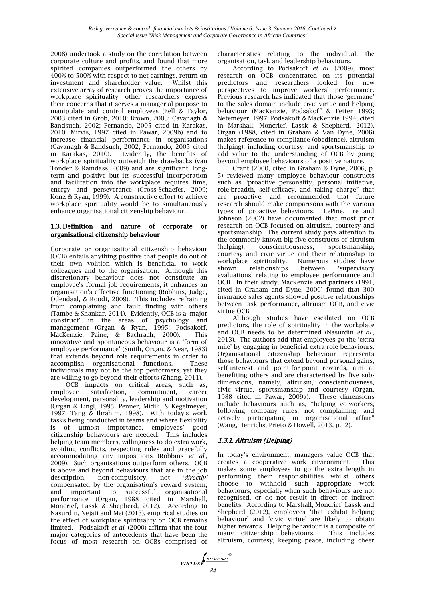2008) undertook a study on the correlation between corporate culture and profits, and found that more spirited companies outperformed the others by 400% to 500% with respect to net earnings, return on investment and shareholder value. Whilst this extensive array of research proves the importance of workplace spirituality, other researchers express their concerns that it serves a managerial purpose to manipulate and control employees (Bell & Taylor, 2003 cited in Grob, 2010; Brown, 2003; Cavanagh & Bandsuch, 2002; Fernando, 2005 cited in Karakas, 2010; Mirvis, 1997 cited in Pawar, 2009b) and to increase financial performance in organisations (Cavanagh & Bandsuch, 2002; Fernando, 2005 cited in Karakas, 2010). Evidently, the benefits of workplace spirituality outweigh the drawbacks (van Tonder & Ramdass, 2009) and are significant, longterm and positive but its successful incorporation and facilitation into the workplace requires time, energy and perseverance (Gross-Schaefer, 2009; Konz & Ryan, 1999). A constructive effort to achieve workplace spirituality would be to simultaneously enhance organisational citizenship behaviour.

#### 1.3. Definition and nature of corporate or organisational citizenship behaviour

Corporate or organisational citizenship behaviour (OCB) entails anything positive that people do out of their own volition which is beneficial to work colleagues and to the organisation. Although this discretionary behaviour does not constitute an employee's formal job requirements, it enhances an organisation's effective functioning (Robbins, Judge, Odendaal, & Roodt, 2009). This includes refraining from complaining and fault finding with others (Tambe & Shankar, 2014). Evidently, OCB is a 'major construct' in the areas of psychology and management (Organ & Ryan, 1995; Podsakoff, MacKenzie, Paine, & Bachrach, 2000). This innovative and spontaneous behaviour is a 'form of employee performance' (Smith, Organ, & Near, 1983) that extends beyond role requirements in order to accomplish organisational functions. These individuals may not be the top performers, yet they are willing to go beyond their efforts (Zhang, 2011).

OCB impacts on critical areas, such as, employee satisfaction, commitment, career development, personality, leadership and motivation (Organ & Lingl, 1995; Penner, Midili, & Kegelmeyer, 1997; Tang & Ibrahim, 1998). With today's work tasks being conducted in teams and where flexibility is of utmost importance, employees' good citizenship behaviours are needed. This includes helping team members, willingness to do extra work, avoiding conflicts, respecting rules and gracefully accommodating any impositions (Robbins *et al.*, 2009). Such organisations outperform others. OCB is above and beyond behaviours that are in the job description, non-compulsory, not '*directly'*  compensated by the organisation's reward system, and important to successful organisational performance (Organ, 1988 cited in Marshall, Moncrief, Lassk & Shepherd, 2012). According to Nasurdin, Nejati and Mei (2013), empirical studies on the effect of workplace spirituality on OCB remains limited. Podsakoff *et al.* (2000) affirm that the four major categories of antecedents that have been the focus of most research on OCBs comprised of characteristics relating to the individual, the organisation, task and leadership behaviours.

According to Podsakoff *et al.* (2009), most research on OCB concentrated on its potential predictors and researchers looked for new perspectives to improve workers' performance. Previous research has indicated that those 'germane' to the sales domain include civic virtue and helping behaviour (MacKenzie, Podsakoff & Fetter 1993; Netemeyer, 1997; Podsakoff & MacKenzie 1994, cited in Marshall, Moncrief, Lassk & Shepherd, 2012). Organ (1988, cited in Graham & Van Dyne, 2006) makes reference to compliance (obedience), altruism (helping), including courtesy, and sportsmanship to add value to the understanding of OCB by going beyond employee behaviours of a positive nature.

Crant (2000, cited in Graham & Dyne, 2006, p. 5) reviewed many employee behaviour constructs such as "proactive personality, personal initiative, role-breadth, self-efficacy, and taking charge" that are proactive, and recommended that future research should make comparisons with the various types of proactive behaviours. LePine, Ere and Johnson (2002) have documented that most prior research on OCB focused on altruism, courtesy and sportsmanship. The current study pays attention to the commonly known big five constructs of altruism (helping), conscientiousness, sportsmanship, courtesy and civic virtue and their relationship to workplace spirituality. Numerous studies have shown relationships between 'supervisory evaluations' relating to employee performance and OCB. In their study, MacKenzie and partners (1991, cited in Graham and Dyne, 2006) found that 300 insurance sales agents showed positive relationships between task performance, altruism OCB, and civic virtue OCB.

Although studies have escalated on OCB predictors, the role of spirituality in the workplace and OCB needs to be determined (Nasurdin *et al.*, 2013). The authors add that employees go the 'extra mile' by engaging in beneficial extra-role behaviours. Organisational citizenship behaviour represents those behaviours that extend beyond personal gains, self-interest and point-for-point rewards, aim at benefiting others and are characterised by five subdimensions, namely, altruism, conscientiousness, civic virtue, sportsmanship and courtesy (Organ, 1988 cited in Pawar, 2009a). These dimensions include behaviours such as, "helping co-workers, following company rules, not complaining, and actively participating in organisational affair" (Wang, Henrichs, Prieto & Howell, 2013, p. 2).

# 1.3.1. Altruism (Helping)

In today's environment, managers value OCB that creates a cooperative work environment. This makes some employees to go the extra length in performing their responsibilities whilst others choose to withhold such appropriate work behaviours, especially when such behaviours are not recognised, or do not result in direct or indirect benefits. According to Marshall, Moncrief, Lassk and Shepherd (2012), employees 'that exhibit helping behaviour' and 'civic virtue' are likely to obtain higher rewards. Helping behaviour is a composite of many citizenship behaviours. This includes altruism, courtesy, keeping peace, including cheer

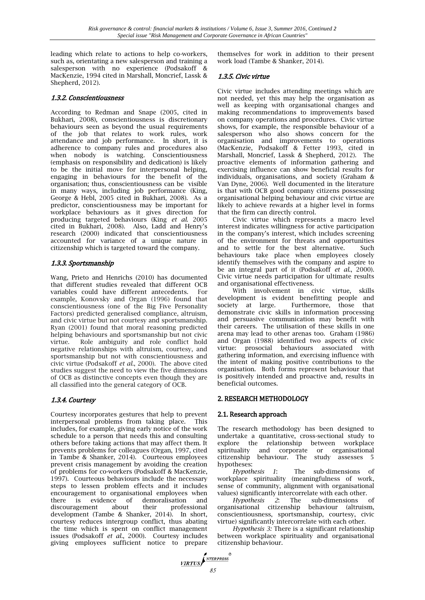leading which relate to actions to help co-workers, such as, orientating a new salesperson and training a salesperson with no experience (Podsakoff & MacKenzie, 1994 cited in Marshall, Moncrief, Lassk & Shepherd, 2012).

## 1.3.2. Conscientiousness

According to Redman and Snape (2005, cited in Bukhari, 2008), conscientiousness is discretionary behaviours seen as beyond the usual requirements of the job that relates to work rules, work attendance and job performance. In short, it is adherence to company rules and procedures also when nobody is watching. Conscientiousness (emphasis on responsibility and dedication) is likely to be the initial move for interpersonal helping, engaging in behaviours for the benefit of the organisation; thus, conscientiousness can be visible in many ways, including job performance (King, George & Hebl, 2005 cited in Bukhari, 2008). As a predictor, conscientiousness may be important for workplace behaviours as it gives direction for producing targeted behaviours (King *et al*. 2005 cited in Bukhari, 2008). Also, Ladd and Henry's research (2000) indicated that conscientiousness accounted for variance of a unique nature in citizenship which is targeted toward the company.

# 1.3.3. Sportsmanship

Wang, Prieto and Henrichs (2010) has documented that different studies revealed that different OCB variables could have different antecedents. For example, Konovsky and Organ (1996) found that conscientiousness (one of the Big Five Personality Factors) predicted generalised compliance, altruism, and civic virtue but not courtesy and sportsmanship. Ryan (2001) found that moral reasoning predicted helping behaviours and sportsmanship but not civic virtue. Role ambiguity and role conflict hold negative relationships with altruism, courtesy, and sportsmanship but not with conscientiousness and civic virtue (Podsakoff *et al.*, 2000). The above cited studies suggest the need to view the five dimensions of OCB as distinctive concepts even though they are all classified into the general category of OCB.

# 1.3.4. Courtesy

Courtesy incorporates gestures that help to prevent interpersonal problems from taking place. This includes, for example, giving early notice of the work schedule to a person that needs this and consulting others before taking actions that may affect them. It prevents problems for colleagues (Organ, 1997, cited in Tambe & Shanker, 2014). Courteous employees prevent crisis management by avoiding the creation of problems for co-workers (Podsakoff & MacKenzie, 1997). Courteous behaviours include the necessary steps to lessen problem effects and it includes encouragement to organisational employees when there is evidence of demoralisation and discouragement about their professional development (Tambe & Shanker, 2014). In short, courtesy reduces intergroup conflict, thus abating the time which is spent on conflict management issues (Podsakoff *et al.*, 2000). Courtesy includes giving employees sufficient notice to prepare

themselves for work in addition to their present work load (Tambe & Shanker, 2014).

### 1.3.5. Civic virtue

Civic virtue includes attending meetings which are not needed, yet this may help the organisation as well as keeping with organisational changes and making recommendations to improvements based on company operations and procedures. Civic virtue shows, for example, the responsible behaviour of a salesperson who also shows concern for the organisation and improvements to operations (MacKenzie, Podsakoff & Fetter 1993, cited in Marshall, Moncrief, Lassk & Shepherd, 2012). The proactive elements of information gathering and exercising influence can show beneficial results for individuals, organisations, and society (Graham & Van Dyne, 2006). Well documented in the literature is that with OCB good company citizens possessing organisational helping behaviour and civic virtue are likely to achieve rewards at a higher level in forms that the firm can directly control.

Civic virtue which represents a macro level interest indicates willingness for active participation in the company's interest, which includes screening of the environment for threats and opportunities and to settle for the best alternative. Such behaviours take place when employees closely identify themselves with the company and aspire to be an integral part of it (Podsakoff *et al*., 2000). Civic virtue needs participation for ultimate results and organisational effectiveness.

With involvement in civic virtue, skills development is evident benefitting people and society at large. Furthermore, those that demonstrate civic skills in information processing and persuasive communication may benefit with their careers. The utilisation of these skills in one arena may lead to other arenas too. Graham (1986) and Organ (1988) identified two aspects of civic virtue: prosocial behaviours associated with gathering information, and exercising influence with the intent of making positive contributions to the organisation. Both forms represent behaviour that is positively intended and proactive and, results in beneficial outcomes.

#### 2. RESEARCH METHODOLOGY

# 2.1. Research approach

The research methodology has been designed to undertake a quantitative, cross-sectional study to explore the relationship between workplace spirituality and corporate or organisational citizenship behaviour. The study assesses 5 hypotheses:

*Hypothesis 1*:The sub-dimensions of workplace spirituality (meaningfulness of work, sense of community, alignment with organisational values) significantly intercorrelate with each other.

*Hypothesis 2*: The sub-dimensions of organisational citizenship behaviour (altruism, conscientiousness, sportsmanship, courtesy, civic virtue) significantly intercorrelate with each other.

*Hypothesis 3:* There is a significant relationship between workplace spirituality and organisational citizenship behaviour.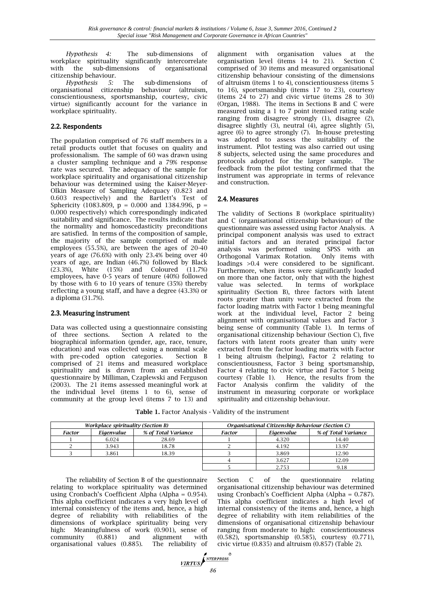*Hypothesis 4:*The sub-dimensions of workplace spirituality significantly intercorrelate with the sub-dimensions of organisational citizenship behaviour.

*Hypothesis 5:* The sub-dimensions of organisational citizenship behaviour (altruism, conscientiousness, sportsmanship, courtesy, civic virtue) significantly account for the variance in workplace spirituality.

# 2.2. Respondents

The population comprised of 76 staff members in a retail products outlet that focuses on quality and professionalism. The sample of 60 was drawn using a cluster sampling technique and a 79% response rate was secured. The adequacy of the sample for workplace spirituality and organisational citizenship behaviour was determined using the Kaiser-Meyer-Olkin Measure of Sampling Adequacy (0.823 and 0.603 respectively) and the Bartlett's Test of Sphericity (1083.809,  $p = 0.000$  and 1384.996,  $p =$ 0.000 respectively) which correspondingly indicated suitability and significance. The results indicate that the normality and homoscedasticity preconditions are satisfied. In terms of the composition of sample, the majority of the sample comprised of male employees (55.5%), are between the ages of 20-40 years of age (76.6%) with only 23.4% being over 40 years of age, are Indian (46.7%) followed by Black (23.3%), White (15%) and Coloured (11.7%) employees, have 0-5 years of tenure (40%) followed by those with 6 to 10 years of tenure (35%) thereby reflecting a young staff, and have a degree (43.3%) or a diploma (31.7%).

# 2.3. Measuring instrument

Data was collected using a questionnaire consisting of three sections. Section A related to the biographical information (gender, age, race, tenure, education) and was collected using a nominal scale with pre-coded option categories. Section B comprised of 21 items and measured workplace spirituality and is drawn from an established questionnaire by Milliman, Czaplewski and Ferguson (2003). The 21 items assessed meaningful work at the individual level (items 1 to 6), sense of community at the group level (items 7 to 13) and

alignment with organisation values at the organisation level (items 14 to 21). Section C comprised of 30 items and measured organisational citizenship behaviour consisting of the dimensions of altruism (items 1 to 4), conscientiousness (items 5 to 16), sportsmanship (items 17 to 23), courtesy (items 24 to 27) and civic virtue (items 28 to 30) (Organ, 1988). The items in Sections B and C were measured using a 1 to 7 point itemised rating scale ranging from disagree strongly (1), disagree (2), disagree slightly (3), neutral (4), agree slightly (5), agree (6) to agree strongly (7). In-house pretesting was adopted to assess the suitability of the instrument. Pilot testing was also carried out using 8 subjects, selected using the same procedures and protocols adopted for the larger sample. The feedback from the pilot testing confirmed that the instrument was appropriate in terms of relevance and construction.

# 2.4. Measures

The validity of Sections B (workplace spirituality) and C (organisational citizenship behaviour) of the questionnaire was assessed using Factor Analysis. A principal component analysis was used to extract initial factors and an iterated principal factor analysis was performed using SPSS with an Orthogonal Varimax Rotation. Only items with loadings >0.4 were considered to be significant. Furthermore, when items were significantly loaded on more than one factor, only that with the highest value was selected. In terms of workplace spirituality (Section B), three factors with latent roots greater than unity were extracted from the factor loading matrix with Factor 1 being meaningful work at the individual level, Factor 2 being alignment with organisational values and Factor 3 being sense of community (Table 1). In terms of organisational citizenship behaviour (Section C), five factors with latent roots greater than unity were extracted from the factor loading matrix with Factor 1 being altruism (helping), Factor 2 relating to conscientiousness, Factor 3 being sportsmanship, Factor 4 relating to civic virtue and Factor 5 being courtesy (Table 1). Hence, the results from the Factor Analysis confirm the validity of the instrument in measuring corporate or workplace spirituality and citizenship behaviour.

**Table 1.** Factor Analysis - Validity of the instrument

|               | <i>Workplace spirituality (Section B)</i> |       | Organisational Citizenship Behaviour (Section C) |            |                     |  |
|---------------|-------------------------------------------|-------|--------------------------------------------------|------------|---------------------|--|
| <b>Factor</b> | % of Total Variance<br>Eigenvalue         |       | <b>Factor</b>                                    | Eigenvalue | % of Total Variance |  |
|               | 6.024                                     | 28.69 |                                                  | 4.320      | 14.40               |  |
|               | 3.943                                     | 18.78 |                                                  | 4.192      | 13.97               |  |
|               | 3.861                                     | 18.39 |                                                  | 3.869      | 12.90               |  |
|               |                                           |       |                                                  | 3.627      | 12.09               |  |
|               |                                           |       |                                                  | 2.753      | 9.18                |  |

The reliability of Section B of the questionnaire relating to workplace spirituality was determined using Cronbach's Coefficient Alpha (Alpha = 0.954). This alpha coefficient indicates a very high level of internal consistency of the items and, hence, a high degree of reliability with reliabilities of the dimensions of workplace spirituality being very high: Meaningfulness of work (0.901), sense of community (0.881) and alignment with organisational values (0.885). The reliability of

Section C of the questionnaire relating organisational citizenship behaviour was determined using Cronbach's Coefficient Alpha (Alpha = 0.787). This alpha coefficient indicates a high level of internal consistency of the items and, hence, a high degree of reliability with item reliabilities of the dimensions of organisational citizenship behaviour ranging from moderate to high: conscientiousness (0.582), sportsmanship (0.585), courtesy (0.771), civic virtue (0.835) and altruism (0.857) (Table 2).

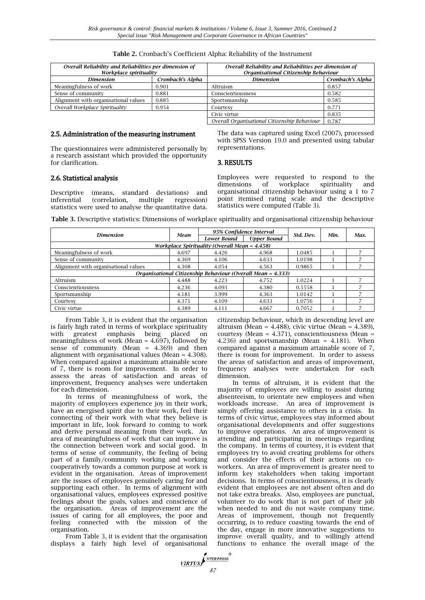| Overall Reliability and Reliabilities per dimension of<br>Workplace spirituality |                  | Overall Reliability and Reliabilities per dimension of<br>Organisational Citizenship Behaviour |                  |  |
|----------------------------------------------------------------------------------|------------------|------------------------------------------------------------------------------------------------|------------------|--|
| Dimension                                                                        | Cronbach's Alpha | <b>Dimension</b>                                                                               | Cronbach's Alpha |  |
| Meaningfulness of work                                                           | 0.901            | Altruism                                                                                       | 0.857            |  |
| Sense of community                                                               | 0.881            | Conscientiousness                                                                              | 0.582            |  |
| Alignment with organisational values                                             | 0.885            | Sportsmanship                                                                                  | 0.585            |  |
| Overall Workplace Spirituality                                                   | 0.954            | Courtesv                                                                                       | 0.771            |  |
|                                                                                  |                  | Civic virtue                                                                                   | 0.835            |  |
|                                                                                  |                  | Overall Organisational Citizenship Behaviour                                                   | 0.787            |  |

#### 2.5. Administration of the measuring instrument

The questionnaires were administered personally by a research assistant which provided the opportunity for clarification.

The data was captured using Excel (2007), processed with SPSS Version 19.0 and presented using tabular representations.

#### 3. RESULTS

#### 2.6. Statistical analysis

Descriptive (means, standard deviations) and inferential (correlation, multiple regression) statistics were used to analyse the quantitative data. Employees were requested to respond to the dimensions of workplace spirituality and organisational citizenship behaviour using a 1 to 7 point itemised rating scale and the descriptive statistics were computed (Table 3).

**Table 3.** Descriptive statistics: Dimensions of workplace spirituality and organisational citizenship behaviour

|                                                             | Mean  | 95% Confidence Interval |                    |           |      |      |  |  |  |
|-------------------------------------------------------------|-------|-------------------------|--------------------|-----------|------|------|--|--|--|
| <b>Dimension</b>                                            |       | <b>Lower Bound</b>      | <b>Upper Bound</b> | Std. Dev. | Min. | Max. |  |  |  |
| Workplace Spirituality (Overall Mean = 4.458)               |       |                         |                    |           |      |      |  |  |  |
| Meaningfulness of work                                      | 4.697 | 4.426                   | 4.968              | 1.0485    |      |      |  |  |  |
| Sense of community                                          | 4.369 | 4.106                   | 4.633              | 1.0198    |      |      |  |  |  |
| Alignment with organisational values                        | 4.308 | 4.054                   | 4.563              | 0.9865    |      |      |  |  |  |
| Organisational Citizenship Behaviour (Overall Mean = 4.333) |       |                         |                    |           |      |      |  |  |  |
| Altruism                                                    | 4.488 | 4.223                   | 4.752              | 1.0224    |      |      |  |  |  |
| Conscientiousness                                           | 4.236 | 4.093                   | 4.380              | 0.5558    |      |      |  |  |  |
| Sportsmanship                                               | 4.181 | 3.999                   | 4.363              | 1.0142    |      |      |  |  |  |
| Courtesy                                                    | 4.371 | 4.109                   | 4.633              | 1.0756    |      |      |  |  |  |
| Civic virtue                                                | 4.389 | 4.111                   | 4.667              | 0.7052    |      |      |  |  |  |

From Table 3, it is evident that the organisation is fairly high rated in terms of workplace spirituality with greatest emphasis being placed on meaningfulness of work (Mean =  $4.697$ ), followed by sense of community (Mean = 4.369) and then alignment with organisational values (Mean = 4.308). When compared against a maximum attainable score of 7, there is room for improvement. In order to assess the areas of satisfaction and areas of improvement, frequency analyses were undertaken for each dimension.

In terms of meaningfulness of work, the majority of employees experience joy in their work, have an energised spirit due to their work, feel their connecting of their work with what they believe is important in life, look forward to coming to work and derive personal meaning from their work. An area of meaningfulness of work that can improve is the connection between work and social good. In terms of sense of community, the feeling of being part of a family/community working and working cooperatively towards a common purpose at work is evident in the organisation. Areas of improvement are the issues of employees genuinely caring for and supporting each other. In terms of alignment with organisational values, employees expressed positive feelings about the goals, values and conscience of the organisation. Areas of improvement are the issues of caring for all employees, the poor and feeling connected with the mission of the organisation.

From Table 3, it is evident that the organisation displays a fairly high level of organisational citizenship behaviour, which in descending level are altruism (Mean =  $4.488$ ), civic virtue (Mean =  $4.389$ ), courtesy (Mean = 4.371), conscientiousness (Mean = 4.236) and sportsmanship (Mean = 4.181). When compared against a maximum attainable score of 7, there is room for improvement. In order to assess the areas of satisfaction and areas of improvement, frequency analyses were undertaken for each dimension.

In terms of altruism, it is evident that the majority of employees are willing to assist during absenteeism, to orientate new employees and when workloads increase. An area of improvement is simply offering assistance to others in a crisis. In terms of civic virtue, employees stay informed about organisational developments and offer suggestions to improve operations. An area of improvement is attending and participating in meetings regarding the company. In terms of courtesy, it is evident that employees try to avoid creating problems for others and consider the effects of their actions on coworkers. An area of improvement is greater need to inform key stakeholders when taking important decisions. In terms of conscientiousness, it is clearly evident that employees are not absent often and do not take extra breaks. Also, employees are punctual, volunteer to do work that is not part of their job when needed to and do not waste company time. Areas of improvement, though not frequently occurring, is to reduce coasting towards the end of the day, engage in more innovative suggestions to improve overall quality, and to willingly attend functions to enhance the overall image of the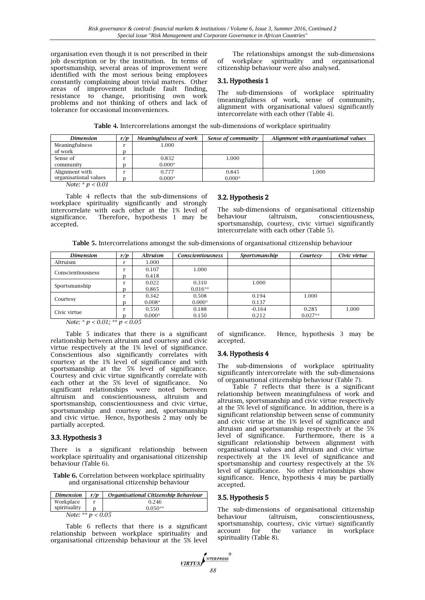organisation even though it is not prescribed in their job description or by the institution. In terms of sportsmanship, several areas of improvement were identified with the most serious being employees constantly complaining about trivial matters. Other areas of improvement include fault finding, resistance to change, prioritising own work problems and not thinking of others and lack of tolerance for occasional inconveniences.

The relationships amongst the sub-dimensions of workplace spirituality and organisational citizenship behaviour were also analysed.

#### 3.1. Hypothesis 1

The sub-dimensions of workplace spirituality (meaningfulness of work, sense of community, alignment with organisational values) significantly intercorrelate with each other (Table 4).

**Table 4.** Intercorrelations amongst the sub-dimensions of workplace spirituality

| r/p | Meaningfulness of work | Sense of community | Alignment with organisational values |
|-----|------------------------|--------------------|--------------------------------------|
|     | 1.000                  |                    |                                      |
| n   |                        |                    |                                      |
|     | 0.832                  | 1.000              |                                      |
| n   | $0.000*$               |                    |                                      |
|     | 0.777                  | 0.845              | $1.000\,$                            |
| n   | $0.000*$               | $0.000*$           |                                      |
|     |                        |                    |                                      |

*Note: \* p < 0.01*

Table 4 reflects that the sub-dimensions of workplace spirituality significantly and strongly intercorrelate with each other at the 1% level of significance. Therefore, hypothesis 1 may be accepted.

#### 3.2. Hypothesis 2

The sub-dimensions of organisational citizenship conscientiousness. sportsmanship, courtesy, civic virtue) significantly intercorrelate with each other (Table 5).

**Table 5.** Intercorrelations amongst the sub-dimensions of organisational citizenship behaviour

| 1.000<br>0.107 | 1.000                                                                                                                                   |          |           |       |
|----------------|-----------------------------------------------------------------------------------------------------------------------------------------|----------|-----------|-------|
|                |                                                                                                                                         |          |           |       |
|                |                                                                                                                                         |          |           |       |
|                |                                                                                                                                         |          |           |       |
| 0.022          | 0.310                                                                                                                                   | 1.000    |           |       |
| 0.865          | $0.016**$                                                                                                                               |          |           |       |
| 0.342          | 0.508                                                                                                                                   | 0.194    | 1.000     |       |
| $0.008*$       | $0.000*$                                                                                                                                | 0.137    |           |       |
| 0.550          | 0.188                                                                                                                                   | $-0.164$ | 0.285     | 1.000 |
| $0.000*$       | 0.150                                                                                                                                   | 0.212    | $0.027**$ |       |
|                | 0.418<br>$M_{\odot}$ to $\star$ $\star$ $\star$ $\wedge$ $\wedge$ $\uparrow$ $\star$ $\star$ $\star$ $\star$ $\wedge$ $\wedge$ $\vdash$ |          |           |       |

*Note: \* p < 0.01; \*\* p < 0.05*

Table 5 indicates that there is a significant relationship between altruism and courtesy and civic virtue respectively at the 1% level of significance. Conscientious also significantly correlates with courtesy at the 1% level of significance and with sportsmanship at the 5% level of significance. Courtesy and civic virtue significantly correlate with each other at the 5% level of significance. No significant relationships were noted between altruism and conscientiousness, altruism and sportsmanship, conscientiousness and civic virtue, sportsmanship and courtesy and, sportsmanship and civic virtue. Hence, hypothesis 2 may only be partially accepted.

#### 3.3. Hypothesis 3

There is a significant relationship between workplace spirituality and organisational citizenship behaviour (Table 6).

**Table 6.** Correlation between workplace spirituality and organisational citizenship behaviour

| <b>Dimension</b>    | r/n | Organisational Citizenship Behaviour |  |  |  |
|---------------------|-----|--------------------------------------|--|--|--|
| Workplace           | r   | 0.246                                |  |  |  |
| spirituality        |     | $0.050**$                            |  |  |  |
| Note: ** $p < 0.05$ |     |                                      |  |  |  |

Table 6 reflects that there is a significant relationship between workplace spirituality and organisational citizenship behaviour at the 5% level of significance. Hence, hypothesis 3 may be accepted.

#### 3.4. Hypothesis 4

The sub-dimensions of workplace spirituality significantly intercorrelate with the sub-dimensions of organisational citizenship behaviour (Table 7).

Table 7 reflects that there is a significant relationship between meaningfulness of work and altruism, sportsmanship and civic virtue respectively at the 5% level of significance. In addition, there is a significant relationship between sense of community and civic virtue at the 1% level of significance and altruism and sportsmanship respectively at the 5% level of significance. Furthermore, there is a significant relationship between alignment with organisational values and altruism and civic virtue respectively at the 1% level of significance and sportsmanship and courtesy respectively at the 5% level of significance. No other relationships show significance. Hence, hypothesis 4 may be partially accepted.

#### 3.5. Hypothesis 5

The sub-dimensions of organisational citizenship<br>behaviour (altruism, conscientiousness, behaviour (altruism, conscientiousness, sportsmanship, courtesy, civic virtue) significantly account for the variance in workplace spirituality (Table 8).

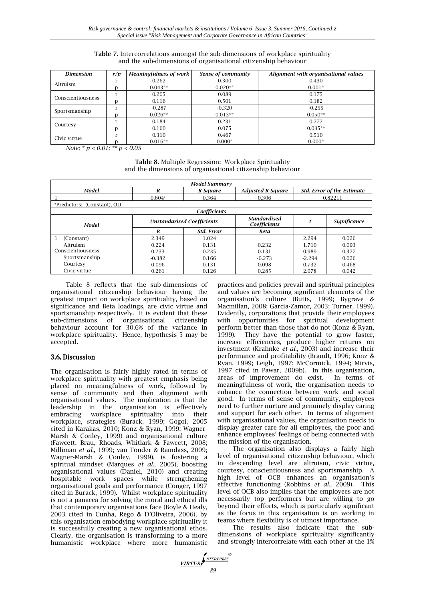| <b>Dimension</b>  | r/p | Meaningfulness of work | Sense of community | Alignment with organisational values |
|-------------------|-----|------------------------|--------------------|--------------------------------------|
| Altruism          |     | 0.262                  | 0.300              | 0.430                                |
|                   |     | $0.043**$              | $0.020**$          | $0.001*$                             |
|                   |     | 0.205                  | 0.089              | 0.175                                |
| Conscientiousness |     | 0.116                  | 0.501              | 0.182                                |
|                   |     | $-0.287$               | $-0.320$           | $-0.255$                             |
| Sportsmanship     |     | $0.026**$              | $0.013**$          | $0.050**$                            |
|                   |     | 0.184                  | 0.231              | 0.272                                |
| Courtesy          |     | 0.160                  | 0.075              | $0.035**$                            |
| Civic virtue      |     | 0.310                  | 0.467              | 0.510                                |
|                   |     | $0.016**$              | $0.000*$           | $0.000*$                             |

#### **Table 7.** Intercorrelations amongst the sub-dimensions of workplace spirituality and the sub-dimensions of organisational citizenship behaviour

*Note: \* p < 0.01; \*\* p < 0.05*

**Table 8.** Multiple Regression: Workplace Spirituality and the dimensions of organisational citizenship behaviour

| Model Summary                           |                                   |              |                                     |                            |                     |  |  |
|-----------------------------------------|-----------------------------------|--------------|-------------------------------------|----------------------------|---------------------|--|--|
| Model                                   | R<br>R Square                     |              | <b>Adjusted R Square</b>            | Std. Error of the Estimate |                     |  |  |
|                                         | $0.604$ <sup>a</sup><br>0.364     |              | 0.306                               | 0.82211                    |                     |  |  |
| <sup>a</sup> Predictors: (Constant). OD |                                   |              |                                     |                            |                     |  |  |
|                                         |                                   | Coefficients |                                     |                            |                     |  |  |
| Model                                   | <b>Unstandarised Coefficients</b> |              | <b>Standardised</b><br>Coefficients | t                          | <b>Significance</b> |  |  |
|                                         | R                                 | Std. Error   | <b>Beta</b>                         |                            |                     |  |  |
| (Constant)                              | 2.349                             | 1.024        |                                     | 2.294                      | 0.026               |  |  |
| Altruism                                | 0.224                             | 0.131        | 0.232                               | 1.710                      | 0.093               |  |  |
| Conscientiousness                       | 0.233                             |              | 0.131                               | 0.989                      | 0.327               |  |  |
| Sportsmanship                           | $-0.382$                          | 0.166        | $-0.273$                            | $-2.294$                   | 0.026               |  |  |
| Courtesy                                | 0.096                             | 0.131        | 0.098                               | 0.732                      | 0.468               |  |  |
| Civic virtue                            | 0.261                             | 0.126        | 0.285                               | 2.078                      | 0.042               |  |  |

Table 8 reflects that the sub-dimensions of organisational citizenship behaviour having the greatest impact on workplace spirituality, based on significance and Beta loadings, are civic virtue and sportsmanship respectively. It is evident that these sub-dimensions of organisational citizenship behaviour account for 30.6% of the variance in workplace spirituality. Hence, hypothesis 5 may be accepted.

# 3.6. Discussion

The organisation is fairly highly rated in terms of workplace spirituality with greatest emphasis being placed on meaningfulness of work, followed by sense of community and then alignment with organisational values. The implication is that the leadership in the organisation is effectively embracing workplace spirituality into their workplace, strategies (Burack, 1999; Gogoi, 2005 cited in Karakas, 2010; Konz & Ryan, 1999; Wagner-Marsh & Conley, 1999) and organisational culture (Fawcett, Brau, Rhoads, Whitlark & Fawcett, 2008; Milliman *et al.*, 1999; van Tonder & Ramdass, 2009; Wagner-Marsh & Conley, 1999), is fostering a spiritual mindset (Marques *et al*., 2005), boosting organisational values (Daniel, 2010) and creating hospitable work spaces while strengthening organisational goals and performance (Conger, 1997 cited in Burack, 1999). Whilst workplace spirituality is not a panacea for solving the moral and ethical ills that contemporary organisations face (Boyle & Healy, 2003 cited in Cunha, Rego & D'Oliveira, 2006), by this organisation embodying workplace spirituality it is successfully creating a new organisational ethos. Clearly, the organisation is transforming to a more humanistic workplace where more humanistic practices and policies prevail and spiritual principles and values are becoming significant elements of the organisation's culture (Butts, 1999; Bygrave & Macmillan, 2008; Garcia-Zamor, 2003; Turner, 1999). Evidently, corporations that provide their employees with opportunities for spiritual development perform better than those that do not (Konz & Ryan, 1999). They have the potential to grow faster, increase efficiencies, produce higher returns on investment (Krahnke *et al*., 2003) and increase their performance and profitability (Brandt, 1996; Konz & Ryan, 1999; Leigh, 1997; McCormick, 1994; Mirvis, 1997 cited in Pawar, 2009b). In this organisation, areas of improvement do exist. In terms of meaningfulness of work, the organisation needs to enhance the connection between work and social good. In terms of sense of community, employees need to further nurture and genuinely display caring and support for each other. In terms of alignment with organisational values, the organisation needs to display greater care for all employees, the poor and enhance employees' feelings of being connected with the mission of the organisation.

The organisation also displays a fairly high level of organisational citizenship behaviour, which in descending level are altruism, civic virtue, courtesy, conscientiousness and sportsmanship. A high level of OCB enhances an organisation's effective functioning (Robbins *et al*., 2009). This level of OCB also implies that the employees are not necessarily top performers but are willing to go beyond their efforts, which is particularly significant as the focus in this organisation is on working in teams where flexibility is of utmost importance.

The results also indicate that the subdimensions of workplace spirituality significantly and strongly intercorrelate with each other at the 1%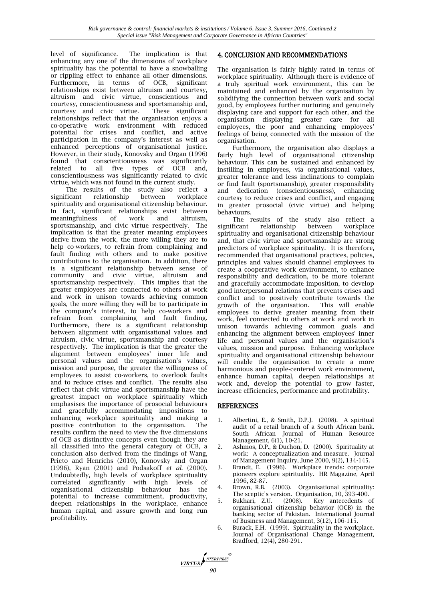level of significance. The implication is that enhancing any one of the dimensions of workplace spirituality has the potential to have a snowballing or rippling effect to enhance all other dimensions. Furthermore, in terms of OCB, significant relationships exist between altruism and courtesy, altruism and civic virtue, conscientious and courtesy, conscientiousness and sportsmanship and, courtesy and civic virtue. These significant relationships reflect that the organisation enjoys a co-operative work environment with reduced potential for crises and conflict, and active participation in the company's interest as well as enhanced perceptions of organisational justice. However, in their study, Konovsky and Organ (1996) found that conscientiousness was significantly related to all five types of OCB and, conscientiousness was significantly related to civic virtue, which was not found in the current study.

The results of the study also reflect a significant relationship between workplace spirituality and organisational citizenship behaviour. In fact, significant relationships exist between meaningfulness of work and altruism, sportsmanship, and civic virtue respectively. The implication is that the greater meaning employees derive from the work, the more willing they are to help co-workers, to refrain from complaining and fault finding with others and to make positive contributions to the organisation. In addition, there is a significant relationship between sense of community and civic virtue, altruism and sportsmanship respectively. This implies that the greater employees are connected to others at work and work in unison towards achieving common goals, the more willing they will be to participate in the company's interest, to help co-workers and refrain from complaining and fault finding. Furthermore, there is a significant relationship between alignment with organisational values and altruism, civic virtue, sportsmanship and courtesy respectively. The implication is that the greater the alignment between employees' inner life and personal values and the organisation's values, mission and purpose, the greater the willingness of employees to assist co-workers, to overlook faults and to reduce crises and conflict. The results also reflect that civic virtue and sportsmanship have the greatest impact on workplace spirituality which emphasises the importance of prosocial behaviours and gracefully accommodating impositions to enhancing workplace spirituality and making a positive contribution to the organisation. The results confirm the need to view the five dimensions of OCB as distinctive concepts even though they are all classified into the general category of OCB, a conclusion also derived from the findings of Wang, Prieto and Henrichs (2010), Konovsky and Organ (1996), Ryan (2001) and Podsakoff *et al.* (2000). Undoubtedly, high levels of workplace spirituality correlated significantly with high levels of organisational citizenship behaviour has the potential to increase commitment, productivity, deepen relationships in the workplace, enhance human capital, and assure growth and long run profitability.

## 4. CONCLUSION AND RECOMMENDATIONS

The organisation is fairly highly rated in terms of workplace spirituality. Although there is evidence of a truly spiritual work environment, this can be maintained and enhanced by the organisation by solidifying the connection between work and social good, by employees further nurturing and genuinely displaying care and support for each other, and the organisation displaying greater care for all employees, the poor and enhancing employees' feelings of being connected with the mission of the organisation.

Furthermore, the organisation also displays a fairly high level of organisational citizenship behaviour. This can be sustained and enhanced by instilling in employees, via organisational values, greater tolerance and less inclinations to complain or find fault (sportsmanship), greater responsibility and dedication (conscientiousness), enhancing courtesy to reduce crises and conflict, and engaging in greater prosocial (civic virtue) and helping behaviours.

The results of the study also reflect a significant relationship between workplace spirituality and organisational citizenship behaviour and, that civic virtue and sportsmanship are strong predictors of workplace spirituality. It is therefore, recommended that organisational practices, policies, principles and values should channel employees to create a cooperative work environment, to enhance responsibility and dedication, to be more tolerant and gracefully accommodate imposition, to develop good interpersonal relations that prevents crises and conflict and to positively contribute towards the growth of the organisation. This will enable employees to derive greater meaning from their work, feel connected to others at work and work in unison towards achieving common goals and enhancing the alignment between employees' inner life and personal values and the organisation's values, mission and purpose. Enhancing workplace spirituality and organisational citizenship behaviour will enable the organisation to create a more harmonious and people-centered work environment, enhance human capital, deepen relationships at work and, develop the potential to grow faster, increase efficiencies, performance and profitability.

#### REFERENCES

- 1. Albertini, E., & Smith, D.P.J. (2008). A spiritual audit of a retail branch of a South African bank. South African Journal of Human Resource Management, 6(1), 10-21.
- 2. Ashmos, D.P., & Duchon, D. (2000). Spirituality at work: A conceptualization and measure. Journal of Management Inquiry, June 2000, 9(2), 134-145.
- 3. Brandt, E. (1996). Workplace trends: corporate pioneers explore spirituality. HR Magazine, April 1996, 82-87.
- 4. Brown, R.B. (2003). Organisational spirituality: The sceptic's version. Organisation, 10, 393-400.
- 5. Bukhari, Z.U. (2008). Key antecedents of organisational citizenship behavior (OCB) in the banking sector of Pakistan. International Journal of Business and Management, 3(12), 106-115.
- 6. Burack, E.H. (1999). Spirituality in the workplace. Journal of Organisational Change Management, Bradford, 12(4), 280-291.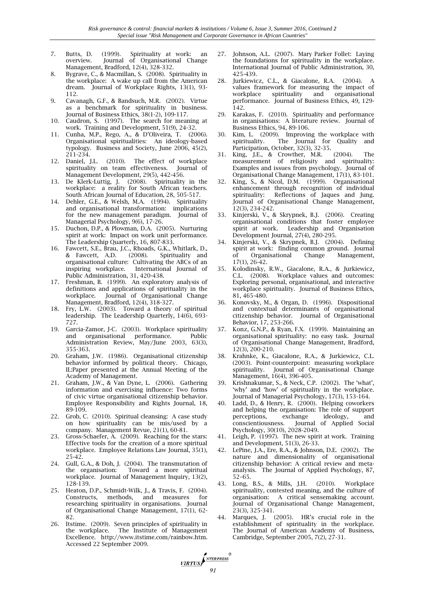- 7. Butts, D. (1999). Spirituality at work: an overview. Journal of Organisational Change Management, Bradford, 12(4), 328-332.
- 8. Bygrave, C., & Macmillan, S. (2008). Spirituality in the workplace: A wake up call from the American dream. Journal of Workplace Rights, 13(1), 93- 112.
- 9. Cavanagh, G.F., & Bandsuch, M.R. (2002). Virtue as a benchmark for spirituality in business. Journal of Business Ethics, 38(1-2), 109-117.
- 10. Caudron, S. (1997). The search for meaning at work. Training and Development, 51(9), 24-32.
- 11. Cunha, M.P., Rego, A., & D'Oliveira, T. (2006). Organisational spiritualities: An ideology-based typology. Business and Society, June 2006, 45(2), 211-234.
- 12. Daniel, J.L. (2010). The effect of workplace spirituality on team effectiveness. Journal of Management Development, 29(5), 442-456.
- 13. De Klerk-Luttig, J. (2008). Spirituality in the workplace: a reality for South African teachers. South African Journal of Education, 28, 505-517.
- 14. Dehler, G.E., & Welsh, M.A. (1994). Spirituality and organisational transformation: implications for the new management paradigm. Journal of Managerial Psychology, 9(6), 17-26.
- 15. Duchon, D.P., & Plowman, D.A. (2005). Nurturing spirit at work: Impact on work unit performance. The Leadership Quarterly, 16, 807-833.
- 16. Fawcett, S.E., Brau, J.C., Rhoads, G.K., Whitlark, D., & Fawcett, A.D. (2008). Spirituality and organisational culture: Cultivating the ABCs of an inspiring workplace. International Journal of Public Administration, 31, 420-438.
- 17. Freshman, B. (1999). An exploratory analysis of definitions and applications of spirituality in the workplace. Journal of Organisational Change Management, Bradford, 12(4), 318-327.
- 18. Fry,  $\tilde{L}W$ . (2003). Toward a theory of spiritual leadership. The Leadership Quarterly, 14(6), 693- 727.
- 19. Garcia-Zamor, J-C. (2003). Workplace spirituality and organisational performance. Public Administration Review, May/June 2003, 63(3). 355-363.
- 20. Graham, J.W. (1986). Organisational citizenship behavior informed by political theory. Chicago, IL:Paper presented at the Annual Meeting of the Academy of Management.
- 21. Graham, J.W., & Van Dyne, L. (2006). Gathering information and exercising influence: Two forms of civic virtue organisational citizenship behavior. Employee Responsibility and Rights Journal, 18, 89-109.
- 22. Grob, C. (2010). Spiritual cleansing: A case study on how spirituality can be mis/used by a company. Management Revue, 21(1), 60-81.
- 23. Gross-Schaefer, A. (2009). Reaching for the stars: Effective tools for the creation of a more spiritual workplace. Employee Relations Law Journal, 35(1), 25-42.
- 24. Gull, G.A., & Doh, J. (2004). The transmutation of the organisation: Toward a more spiritual workplace. Journal of Management Inquiry, 13(2), 128-139.
- 25. Heaton, D.P., Schmidt-Wilk, J., & Travis, F. (2004). Constructs, methods, and measures for researching spirituality in organisations. Journal of Organisational Change Management, 17(1), 62- 82.
- 26. Itstime. (2009). Seven principles of spirituality in the workplace. The Institute of Management Excellence. http://www.itstime.com/rainbow.htm. Accessed 22 September 2009.
- Johnson, A.L. (2007). Mary Parker Follet: Laying the foundations for spirituality in the workplace. International Journal of Public Administration, 30, 425-439.
- 28. Jurkiewicz, C.L., & Giacalone, R.A. (2004). A values framework for measuring the impact of workplace spirituality and organisational performance. Journal of Business Ethics, 49, 129- 142.
- 29. Karakas, F. (2010). Spirituality and performance in organisations: A literature review. Journal of Business Ethics, 94, 89-106.
- 30. Kim, L. (2009). Improving the workplace with spirituality. The Journal for Quality and Participation, October, 32(3), 32-35.<br>King LE, & Crowther, M.R. (2004).
- 31. King, J.E., & Crowther, M.R. (2004). The measurement of religiosity and spirituality: Examples and issues from psychology. Journal of Organisational Change Management, 17(1), 83-101.
- 32. King, S., & Nicol, D.M. (1999). Organisational enhancement through recognition of individual spirituality: Reflections of Jaques and Jung. Journal of Organisational Change Management, 12(3), 234-242.
- 33. Kinjerski, V., & Skrypnek, B.J. (2006). Creating organisational conditions that foster employee spirit at work. Leadership and Organisation Development Journal, 27(4), 280-295.
- 34. Kinjerski, V., & Skrypnek, B.J. (2004). Defining spirit at work: finding common ground. Journal of Organisational Change Management, 17(1), 26-42.
- 35. Kolodinsky, R.W., Giacalone, R.A., & Jurkiewicz, C.L. (2008). Workplace values and outcomes: Exploring personal, organisational, and interactive workplace spirituality. Journal of Business Ethics, 81, 465-480.
- 36. Konovsky, M., & Organ, D. (1996). Dispositional and contextual determinants of organisational citizenship behavior. Journal of Organisational Behavior, 17, 253-266.
- 37. Konz, G.N.P., & Ryan, F.X. (1999). Maintaining an organisational spirituality: no easy task. Journal of Organisational Change Management, Bradford, 12(3), 200-210.
- 38. Krahnke, K., Giacalone, R.A., & Jurkiewicz, C.L. (2003). Point-counterpoint: measuring workplace spirituality. Journal of Organisational Change Management, 16(4), 396-405.
- 39. Krishnakumar, S., & Neck, C.P. (2002). The 'what', 'why' and 'how' of spirituality in the workplace. Journal of Managerial Psychology, 17(3), 153-164.
- 40. Ladd, D., & Henry, R. (2000). Helping coworkers and helping the organisation: The role of support perceptions, exchange ideology, and conscientiousness. Journal of Applied Social Psychology, 30(10), 2028-2049.
- 41. Leigh, P. (1997). The new spirit at work. Training and Development, 51(3), 26-33.
- 42. LePine, J.A., Ere, R.A., & Johnson, D.E. (2002). The nature and dimensionality of organisational citizenship behavior: A critical review and metaanalysis. The Journal of Applied Psychology, 87, 52–65.
- 43. Long, B.S., & Mills, J.H. (2010). Workplace spirituality, contested meaning, and the culture of organisation: A critical sensemaking account. Journal of Organisational Change Management, 23(3), 325-341.
- 44. Marques, J. (2005). HR's crucial role in the establishment of spirituality in the workplace. The Journal of American Academy of Business, Cambridge, September 2005, 7(2), 27-31.